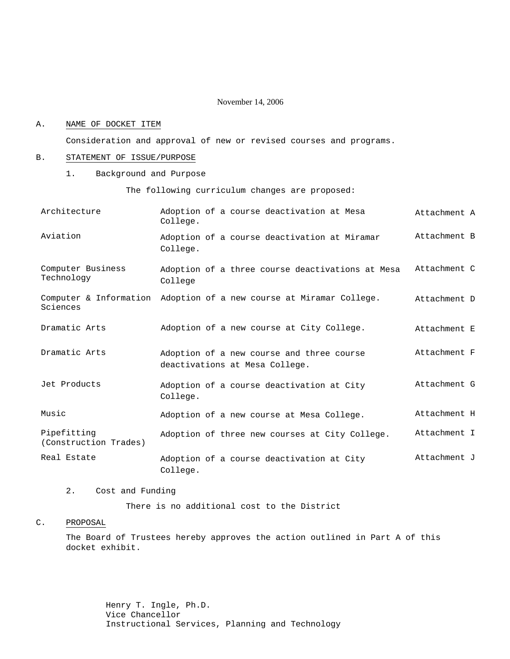### November 14, 2006

#### A. NAME OF DOCKET ITEM

Consideration and approval of new or revised courses and programs.

### B. STATEMENT OF ISSUE/PURPOSE

1. Background and Purpose

The following curriculum changes are proposed:

| Architecture                         | Adoption of a course deactivation at Mesa<br>College.                       | Attachment A |
|--------------------------------------|-----------------------------------------------------------------------------|--------------|
| Aviation                             | Adoption of a course deactivation at Miramar<br>College.                    | Attachment B |
| Computer Business<br>Technology      | Adoption of a three course deactivations at Mesa<br>College                 | Attachment C |
| Sciences                             | Computer & Information Adoption of a new course at Miramar College.         | Attachment D |
| Dramatic Arts                        | Adoption of a new course at City College.                                   | Attachment E |
| Dramatic Arts                        | Adoption of a new course and three course<br>deactivations at Mesa College. | Attachment F |
| Jet Products                         | Adoption of a course deactivation at City<br>College.                       | Attachment G |
| Music                                | Adoption of a new course at Mesa College.                                   | Attachment H |
| Pipefitting<br>(Construction Trades) | Adoption of three new courses at City College.                              | Attachment I |
| Real Estate                          | Adoption of a course deactivation at City<br>College.                       | Attachment J |

## 2. Cost and Funding

There is no additional cost to the District

## C. PROPOSAL

The Board of Trustees hereby approves the action outlined in Part A of this docket exhibit.

> Henry T. Ingle, Ph.D. Vice Chancellor Instructional Services, Planning and Technology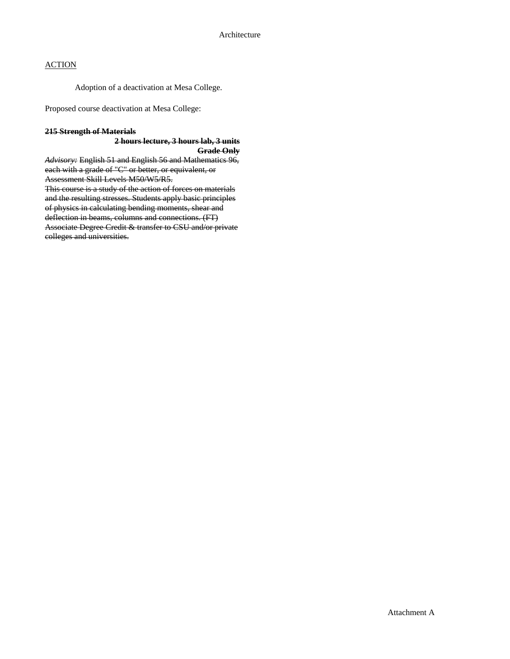Adoption of a deactivation at Mesa College.

Proposed course deactivation at Mesa College:

#### **215 Strength of Materials**

#### **2 hours lecture, 3 hours lab, 3 units Grade Only**

*Advisory:* English 51 and English 56 and Mathematics 96, each with a grade of "C" or better, or equivalent, or Assessment Skill Levels M50/W5/R5. This course is a study of the action of forces on materials and the resulting stresses. Students apply basic principles of physics in calculating bending moments, shear and deflection in beams, columns and connections. (FT) Associate Degree Credit & transfer to CSU and/or private colleges and universities.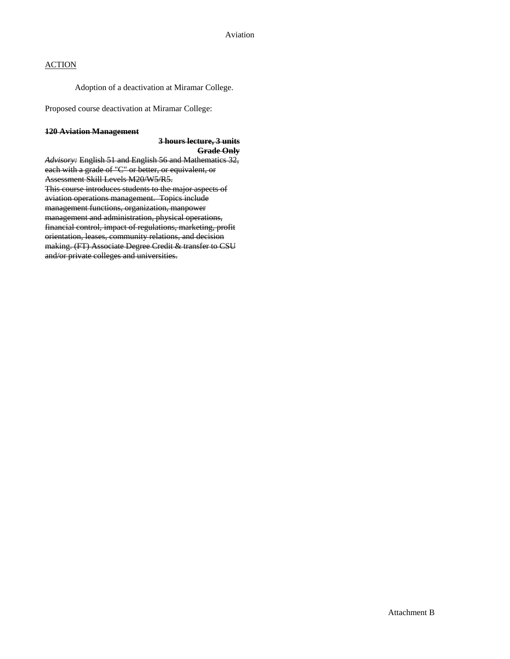Adoption of a deactivation at Miramar College.

Proposed course deactivation at Miramar College:

#### **120 Aviation Management**

#### **3 hours lecture, 3 units Grade Only**

*Advisory:* English 51 and English 56 and Mathematics 32, each with a grade of "C" or better, or equivalent, or Assessment Skill Levels M20/W5/R5. This course introduces students to the major aspects of aviation operations management. Topics include management functions, organization, manpower management and administration, physical operations, financial control, impact of regulations, marketing, profit orientation, leases, community relations, and decision making. (FT) Associate Degree Credit & transfer to CSU and/or private colleges and universities.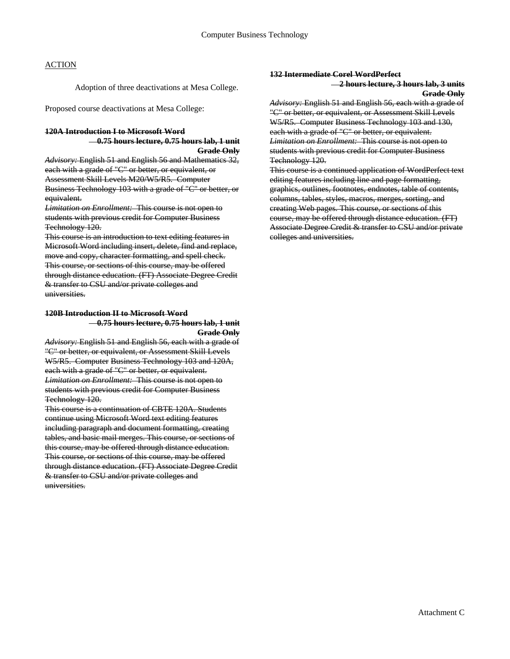Adoption of three deactivations at Mesa College.

Proposed course deactivations at Mesa College:

#### **120A Introduction I to Microsoft Word**

#### **0.75 hours lecture, 0.75 hours lab, 1 unit Grade Only**

*Advisory:* English 51 and English 56 and Mathematics 32, each with a grade of "C" or better, or equivalent, or Assessment Skill Levels M20/W5/R5. Computer Business Technology 103 with a grade of "C" or better, or equivalent.

*Limitation on Enrollment:* This course is not open to students with previous credit for Computer Business Technology 120.

This course is an introduction to text editing features in Microsoft Word including insert, delete, find and replace, move and copy, character formatting, and spell check. This course, or sections of this course, may be offered through distance education. (FT) Associate Degree Credit & transfer to CSU and/or private colleges and universities.

# **120B Introduction II to Microsoft Word**

# **0.75 hours lecture, 0.75 hours lab, 1 unit Grade Only**

*Advisory:* English 51 and English 56, each with a grade of "C" or better, or equivalent, or Assessment Skill Levels W5/R5. Computer Business Technology 103 and 120A, each with a grade of "C" or better, or equivalent. *Limitation on Enrollment:* This course is not open to students with previous credit for Computer Business Technology 120.

This course is a continuation of CBTE 120A. Students continue using Microsoft Word text editing features including paragraph and document formatting, creating tables, and basic mail merges. This course, or sections of this course, may be offered through distance education. This course, or sections of this course, may be offered through distance education. (FT) Associate Degree Credit & transfer to CSU and/or private colleges and universities.

#### **132 Intermediate Corel WordPerfect 2 hours lecture, 3 hours lab, 3 units Grade Only**

*Advisory:* English 51 and English 56, each with a grade of "C" or better, or equivalent, or Assessment Skill Levels W5/R5. Computer Business Technology 103 and 130, each with a grade of "C" or better, or equivalent. *Limitation on Enrollment:* This course is not open to students with previous credit for Computer Business Technology 120.

This course is a continued application of WordPerfect text editing features including line and page formatting, graphics, outlines, footnotes, endnotes, table of contents, columns, tables, styles, macros, merges, sorting, and creating Web pages. This course, or sections of this course, may be offered through distance education. (FT) Associate Degree Credit & transfer to CSU and/or private colleges and universities.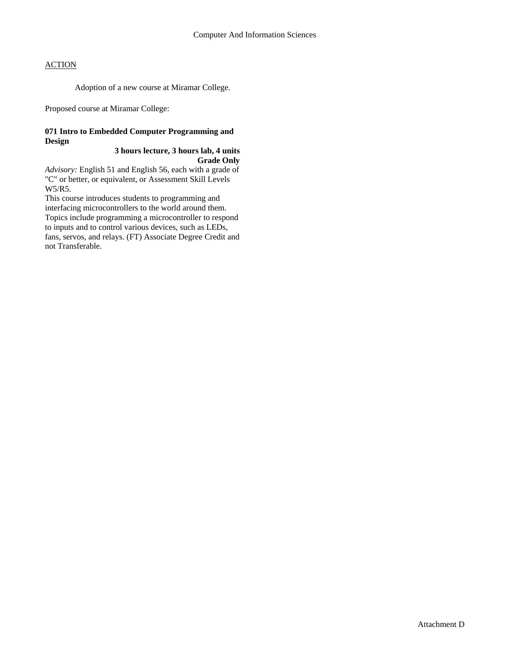Adoption of a new course at Miramar College.

Proposed course at Miramar College:

# **071 Intro to Embedded Computer Programming and Design**

## **3 hours lecture, 3 hours lab, 4 units Grade Only**

*Advisory:* English 51 and English 56, each with a grade of "C" or better, or equivalent, or Assessment Skill Levels W5/R5.

This course introduces students to programming and interfacing microcontrollers to the world around them. Topics include programming a microcontroller to respond to inputs and to control various devices, such as LEDs, fans, servos, and relays. (FT) Associate Degree Credit and not Transferable.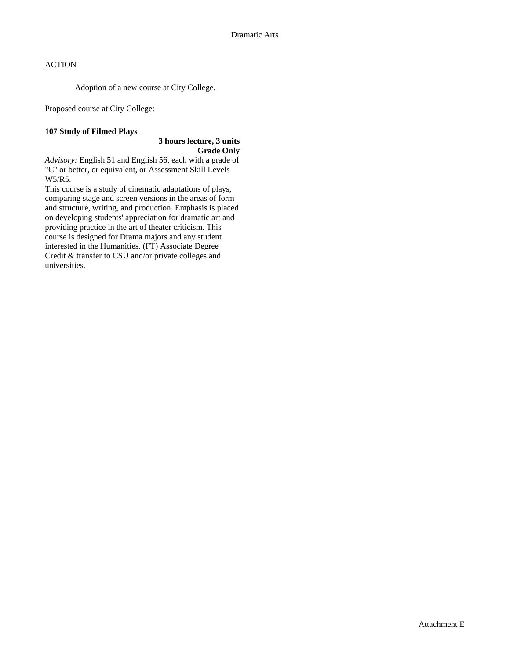Adoption of a new course at City College.

Proposed course at City College:

## **107 Study of Filmed Plays**

# **3 hours lecture, 3 units Grade Only**

*Advisory:* English 51 and English 56, each with a grade of "C" or better, or equivalent, or Assessment Skill Levels W5/R5.

This course is a study of cinematic adaptations of plays, comparing stage and screen versions in the areas of form and structure, writing, and production. Emphasis is placed on developing students' appreciation for dramatic art and providing practice in the art of theater criticism. This course is designed for Drama majors and any student interested in the Humanities. (FT) Associate Degree Credit & transfer to CSU and/or private colleges and universities.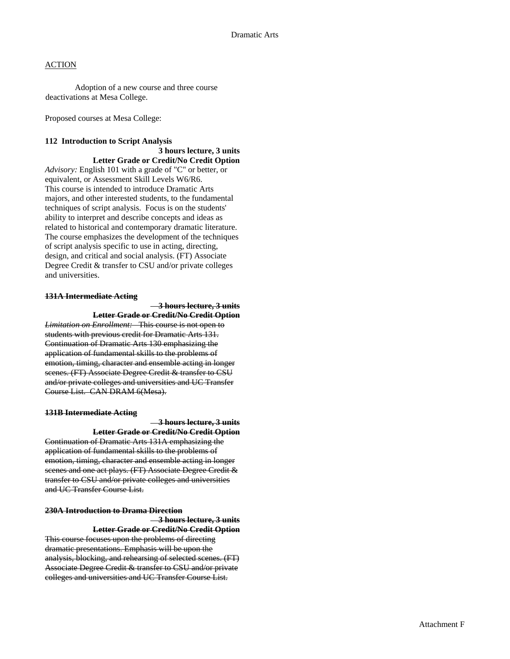### Dramatic Arts

### **ACTION**

Adoption of a new course and three course deactivations at Mesa College.

Proposed courses at Mesa College:

# **112 Introduction to Script Analysis**

#### **3 hours lecture, 3 units Letter Grade or Credit/No Credit Option**

*Advisory:* English 101 with a grade of "C" or better, or equivalent, or Assessment Skill Levels W6/R6. This course is intended to introduce Dramatic Arts majors, and other interested students, to the fundamental techniques of script analysis. Focus is on the students' ability to interpret and describe concepts and ideas as related to historical and contemporary dramatic literature. The course emphasizes the development of the techniques of script analysis specific to use in acting, directing, design, and critical and social analysis. (FT) Associate Degree Credit & transfer to CSU and/or private colleges and universities.

#### **131A Intermediate Acting**

 **3 hours lecture, 3 units** 

**Letter Grade or Credit/No Credit Option** *Limitation on Enrollment:* This course is not open to students with previous credit for Dramatic Arts 131. Continuation of Dramatic Arts 130 emphasizing the application of fundamental skills to the problems of emotion, timing, character and ensemble acting in longer scenes. (FT) Associate Degree Credit & transfer to CSU

and/or private colleges and universities and UC Transfer

#### **131B Intermediate Acting**

Course List. CAN DRAM 6(Mesa).

 **3 hours lecture, 3 units** 

**Letter Grade or Credit/No Credit Option** Continuation of Dramatic Arts 131A emphasizing the application of fundamental skills to the problems of emotion, timing, character and ensemble acting in longer scenes and one act plays. (FT) Associate Degree Credit & transfer to CSU and/or private colleges and universities and UC Transfer Course List.

### **230A Introduction to Drama Direction 3 hours lecture, 3 units Letter Grade or Credit/No Credit Option**

This course focuses upon the problems of directing dramatic presentations. Emphasis will be upon the analysis, blocking, and rehearsing of selected scenes. (FT) Associate Degree Credit & transfer to CSU and/or private colleges and universities and UC Transfer Course List.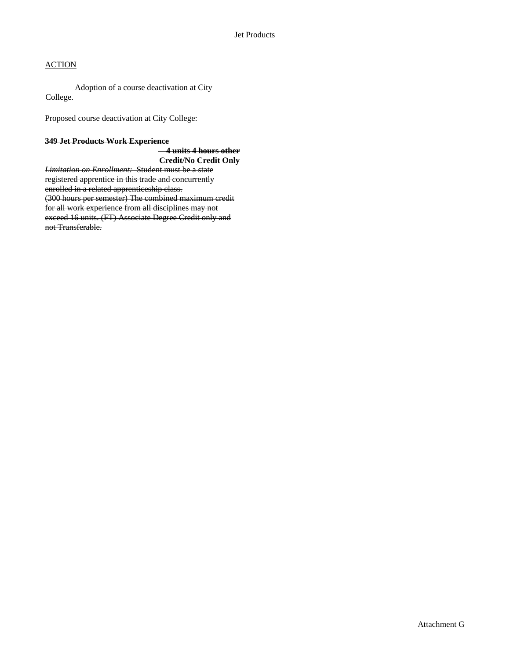Adoption of a course deactivation at City College.

Proposed course deactivation at City College:

# **349 Jet Products Work Experience**

### **4 units 4 hours other Credit/No Credit Only**

*Limitation on Enrollment:* Student must be a state registered apprentice in this trade and concurrently enrolled in a related apprenticeship class. (300 hours per semester) The combined maximum credit for all work experience from all disciplines may not exceed 16 units. (FT) Associate Degree Credit only and not Transferable.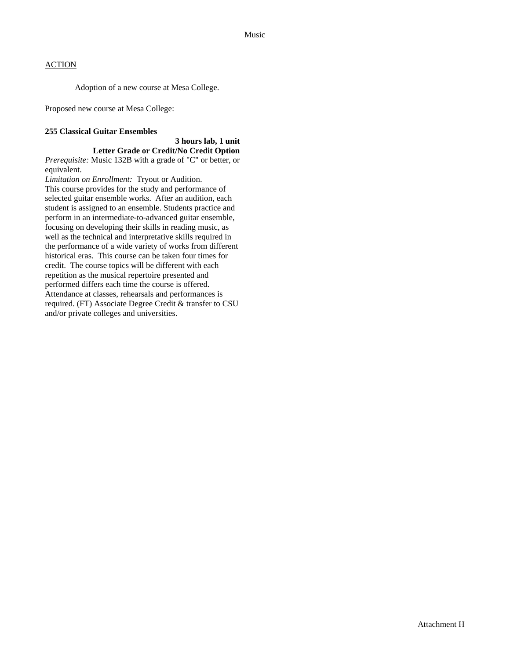Adoption of a new course at Mesa College.

Proposed new course at Mesa College:

#### **255 Classical Guitar Ensembles**

**3 hours lab, 1 unit Letter Grade or Credit/No Credit Option** 

*Prerequisite:* Music 132B with a grade of "C" or better, or equivalent. *Limitation on Enrollment:* Tryout or Audition.

This course provides for the study and performance of selected guitar ensemble works. After an audition, each student is assigned to an ensemble. Students practice and perform in an intermediate-to-advanced guitar ensemble, focusing on developing their skills in reading music, as well as the technical and interpretative skills required in the performance of a wide variety of works from different historical eras. This course can be taken four times for credit. The course topics will be different with each repetition as the musical repertoire presented and performed differs each time the course is offered. Attendance at classes, rehearsals and performances is required. (FT) Associate Degree Credit & transfer to CSU and/or private colleges and universities.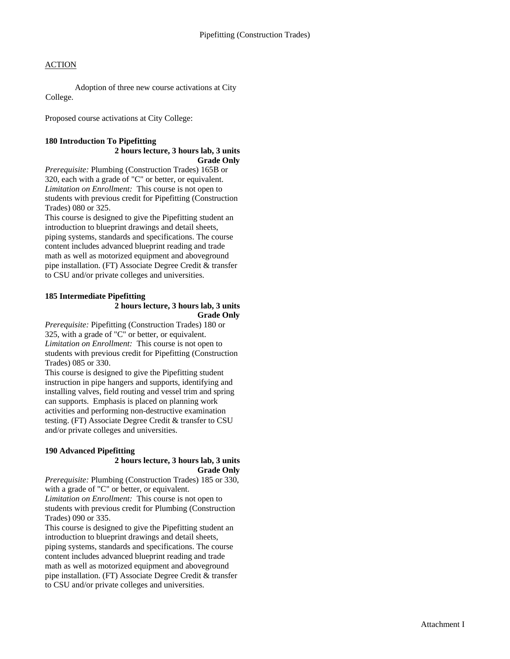Adoption of three new course activations at City College.

Proposed course activations at City College:

## **180 Introduction To Pipefitting 2 hours lecture, 3 hours lab, 3 units Grade Only**

*Prerequisite:* Plumbing (Construction Trades) 165B or 320, each with a grade of "C" or better, or equivalent. *Limitation on Enrollment:* This course is not open to students with previous credit for Pipefitting (Construction Trades) 080 or 325.

This course is designed to give the Pipefitting student an introduction to blueprint drawings and detail sheets, piping systems, standards and specifications. The course content includes advanced blueprint reading and trade math as well as motorized equipment and aboveground pipe installation. (FT) Associate Degree Credit & transfer to CSU and/or private colleges and universities.

# **185 Intermediate Pipefitting 2 hours lecture, 3 hours lab, 3 units**

## **Grade Only**

*Prerequisite:* Pipefitting (Construction Trades) 180 or 325, with a grade of "C" or better, or equivalent. *Limitation on Enrollment:* This course is not open to students with previous credit for Pipefitting (Construction Trades) 085 or 330.

This course is designed to give the Pipefitting student instruction in pipe hangers and supports, identifying and installing valves, field routing and vessel trim and spring can supports. Emphasis is placed on planning work activities and performing non-destructive examination testing. (FT) Associate Degree Credit & transfer to CSU and/or private colleges and universities.

# **190 Advanced Pipefitting**

### **2 hours lecture, 3 hours lab, 3 units Grade Only**

*Prerequisite:* Plumbing (Construction Trades) 185 or 330, with a grade of "C" or better, or equivalent.

*Limitation on Enrollment:* This course is not open to students with previous credit for Plumbing (Construction Trades) 090 or 335.

This course is designed to give the Pipefitting student an introduction to blueprint drawings and detail sheets, piping systems, standards and specifications. The course content includes advanced blueprint reading and trade math as well as motorized equipment and aboveground pipe installation. (FT) Associate Degree Credit & transfer to CSU and/or private colleges and universities.